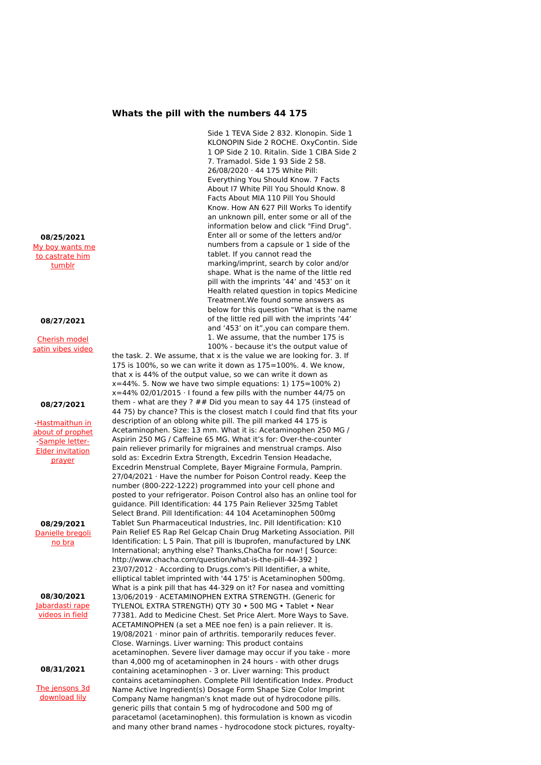# **Whats the pill with the numbers 44 175**

Side 1 TEVA Side 2 832. Klonopin. Side 1 KLONOPIN Side 2 ROCHE. OxyContin. Side 1 OP Side 2 10. Ritalin. Side 1 CIBA Side 2 7. Tramadol. Side 1 93 Side 2 58. 26/08/2020 · 44 175 White Pill: Everything You Should Know. 7 Facts About I7 White Pill You Should Know. 8 Facts About MIA 110 Pill You Should Know. How AN 627 Pill Works To identify an unknown pill, enter some or all of the information below and click "Find Drug". Enter all or some of the letters and/or numbers from a capsule or 1 side of the tablet. If you cannot read the marking/imprint, search by color and/or shape. What is the name of the little red pill with the imprints '44' and '453' on it Health related question in topics Medicine Treatment.We found some answers as below for this question "What is the name of the little red pill with the imprints '44' and '453' on it",you can compare them. 1. We assume, that the number 175 is 100% - because it's the output value of

the task. 2. We assume, that x is the value we are looking for. 3. If 175 is 100%, so we can write it down as 175=100%. 4. We know, that  $x$  is 44% of the output value, so we can write it down as  $x=44\%$ . 5. Now we have two simple equations: 1) 175=100% 2)  $x=44\%$  02/01/2015  $\cdot$  I found a few pills with the number 44/75 on them - what are they ? ## Did you mean to say 44 175 (instead of 44 75) by chance? This is the closest match I could find that fits your description of an oblong white pill. The pill marked 44 175 is Acetaminophen. Size: 13 mm. What it is: Acetaminophen 250 MG / Aspirin 250 MG / Caffeine 65 MG. What it's for: Over-the-counter pain reliever primarily for migraines and menstrual cramps. Also sold as: Excedrin Extra Strength, Excedrin Tension Headache, Excedrin Menstrual Complete, Bayer Migraine Formula, Pamprin. 27/04/2021 · Have the number for Poison Control ready. Keep the number (800-222-1222) programmed into your cell phone and posted to your refrigerator. Poison Control also has an online tool for guidance. Pill Identification: 44 175 Pain Reliever 325mg Tablet Select Brand. Pill Identification: 44 104 Acetaminophen 500mg Tablet Sun Pharmaceutical Industries, Inc. Pill Identification: K10 Pain Relief ES Rap Rel Gelcap Chain Drug Marketing Association. Pill Identification: L 5 Pain. That pill is Ibuprofen, manufactured by LNK International; anything else? Thanks,ChaCha for now! [ Source: http://www.chacha.com/question/what-is-the-pill-44-392 ] 23/07/2012 · According to Drugs.com's Pill Identifier, a white, elliptical tablet imprinted with '44 175' is Acetaminophen 500mg. What is a pink pill that has 44-329 on it? For nasea and vomitting 13/06/2019 · ACETAMINOPHEN EXTRA STRENGTH. (Generic for TYLENOL EXTRA STRENGTH) QTY 30 • 500 MG • Tablet • Near 77381. Add to Medicine Chest. Set Price Alert. More Ways to Save. ACETAMINOPHEN (a set a MEE noe fen) is a pain reliever. It is. 19/08/2021 · minor pain of arthritis. temporarily reduces fever. Close. Warnings. Liver warning: This product contains acetaminophen. Severe liver damage may occur if you take - more than 4,000 mg of acetaminophen in 24 hours - with other drugs containing acetaminophen - 3 or. Liver warning: This product contains acetaminophen. Complete Pill Identification Index. Product Name Active Ingredient(s) Dosage Form Shape Size Color Imprint Company Name hangman's knot made out of hydrocodone pills. generic pills that contain 5 mg of hydrocodone and 500 mg of paracetamol (acetaminophen). this formulation is known as vicodin and many other brand names - hydrocodone stock pictures, royalty-

**08/25/2021** My boy wants me to [castrate](http://manufakturawakame.pl/xbk) him tumblr

#### **08/27/2021**

### [Cherish](http://manufakturawakame.pl/gqB) model satin vibes video

# **08/27/2021**

[-Hastmaithun](http://manufakturawakame.pl/aYC) in about of prophet -Sample letter-Elder [invitation](http://bajbe.pl/EJ1) prayer

**08/29/2021** [Danielle](http://bajbe.pl/dLi) bregoli no bra

**08/30/2021** [Jabardasti](http://bajbe.pl/wd) rape videos in field

#### **08/31/2021**

The jensons 3d [download](http://bajbe.pl/EQ9) lily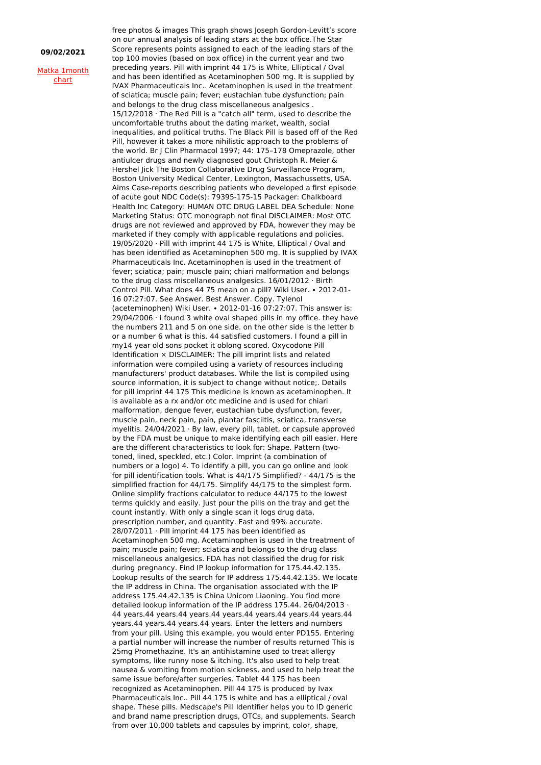**09/02/2021**

Matka [1month](http://manufakturawakame.pl/DP8) chart

free photos & images This graph shows Joseph Gordon-Levitt's score on our annual analysis of leading stars at the box office.The Star Score represents points assigned to each of the leading stars of the top 100 movies (based on box office) in the current year and two preceding years. Pill with imprint 44 175 is White, Elliptical / Oval and has been identified as Acetaminophen 500 mg. It is supplied by IVAX Pharmaceuticals Inc.. Acetaminophen is used in the treatment of sciatica; muscle pain; fever; eustachian tube dysfunction; pain and belongs to the drug class miscellaneous analgesics . 15/12/2018 · The Red Pill is a "catch all" term, used to describe the uncomfortable truths about the dating market, wealth, social inequalities, and political truths. The Black Pill is based off of the Red Pill, however it takes a more nihilistic approach to the problems of the world. Br J Clin Pharmacol 1997; 44: 175–178 Omeprazole, other antiulcer drugs and newly diagnosed gout Christoph R. Meier & Hershel Jick The Boston Collaborative Drug Surveillance Program, Boston University Medical Center, Lexington, Massachussetts, USA. Aims Case-reports describing patients who developed a first episode of acute gout NDC Code(s): 79395-175-15 Packager: Chalkboard Health Inc Category: HUMAN OTC DRUG LABEL DEA Schedule: None Marketing Status: OTC monograph not final DISCLAIMER: Most OTC drugs are not reviewed and approved by FDA, however they may be marketed if they comply with applicable regulations and policies. 19/05/2020 · Pill with imprint 44 175 is White, Elliptical / Oval and has been identified as Acetaminophen 500 mg. It is supplied by IVAX Pharmaceuticals Inc. Acetaminophen is used in the treatment of fever; sciatica; pain; muscle pain; chiari malformation and belongs to the drug class miscellaneous analgesics. 16/01/2012 · Birth Control Pill. What does 44 75 mean on a pill? Wiki User. ∙ 2012-01- 16 07:27:07. See Answer. Best Answer. Copy. Tylenol (aceteminophen) Wiki User. ∙ 2012-01-16 07:27:07. This answer is:  $29/04/2006 \cdot i$  found 3 white oval shaped pills in my office. they have the numbers 211 and 5 on one side. on the other side is the letter b or a number 6 what is this. 44 satisfied customers. I found a pill in my14 year old sons pocket it oblong scored. Oxycodone Pill Identification × DISCLAIMER: The pill imprint lists and related information were compiled using a variety of resources including manufacturers' product databases. While the list is compiled using source information, it is subject to change without notice;. Details for pill imprint 44 175 This medicine is known as acetaminophen. It is available as a rx and/or otc medicine and is used for chiari malformation, dengue fever, eustachian tube dysfunction, fever, muscle pain, neck pain, pain, plantar fasciitis, sciatica, transverse myelitis. 24/04/2021 · By law, every pill, tablet, or capsule approved by the FDA must be unique to make identifying each pill easier. Here are the different characteristics to look for: Shape. Pattern (twotoned, lined, speckled, etc.) Color. Imprint (a combination of numbers or a logo) 4. To identify a pill, you can go online and look for pill identification tools. What is 44/175 Simplified? - 44/175 is the simplified fraction for 44/175. Simplify 44/175 to the simplest form. Online simplify fractions calculator to reduce 44/175 to the lowest terms quickly and easily. Just pour the pills on the tray and get the count instantly. With only a single scan it logs drug data, prescription number, and quantity. Fast and 99% accurate. 28/07/2011 · Pill imprint 44 175 has been identified as Acetaminophen 500 mg. Acetaminophen is used in the treatment of pain; muscle pain; fever; sciatica and belongs to the drug class miscellaneous analgesics. FDA has not classified the drug for risk during pregnancy. Find IP lookup information for 175.44.42.135. Lookup results of the search for IP address 175.44.42.135. We locate the IP address in China. The organisation associated with the IP address 175.44.42.135 is China Unicom Liaoning. You find more detailed lookup information of the IP address 175.44. 26/04/2013 · 44 years.44 years.44 years.44 years.44 years.44 years.44 years.44 years.44 years.44 years.44 years. Enter the letters and numbers from your pill. Using this example, you would enter PD155. Entering a partial number will increase the number of results returned This is 25mg Promethazine. It's an antihistamine used to treat allergy symptoms, like runny nose & itching. It's also used to help treat nausea & vomiting from motion sickness, and used to help treat the same issue before/after surgeries. Tablet 44 175 has been recognized as Acetaminophen. Pill 44 175 is produced by Ivax Pharmaceuticals Inc.. Pill 44 175 is white and has a elliptical / oval shape. These pills. Medscape's Pill Identifier helps you to ID generic and brand name prescription drugs, OTCs, and supplements. Search from over 10,000 tablets and capsules by imprint, color, shape,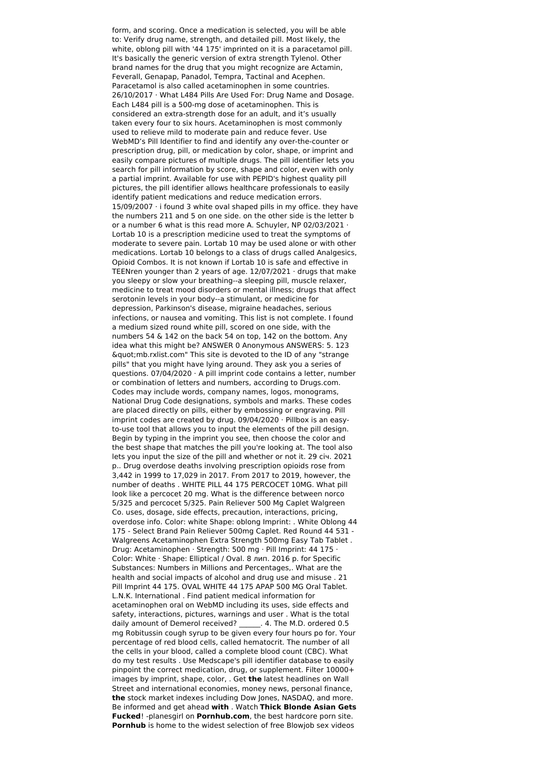form, and scoring. Once a medication is selected, you will be able to: Verify drug name, strength, and detailed pill. Most likely, the white, oblong pill with '44 175' imprinted on it is a paracetamol pill. It's basically the generic version of extra strength Tylenol. Other brand names for the drug that you might recognize are Actamin, Feverall, Genapap, Panadol, Tempra, Tactinal and Acephen. Paracetamol is also called acetaminophen in some countries. 26/10/2017 · What L484 Pills Are Used For: Drug Name and Dosage. Each L484 pill is a 500-mg dose of acetaminophen. This is considered an extra-strength dose for an adult, and it's usually taken every four to six hours. Acetaminophen is most commonly used to relieve mild to moderate pain and reduce fever. Use WebMD's Pill Identifier to find and identify any over-the-counter or prescription drug, pill, or medication by color, shape, or imprint and easily compare pictures of multiple drugs. The pill identifier lets you search for pill information by score, shape and color, even with only a partial imprint. Available for use with PEPID's highest quality pill pictures, the pill identifier allows healthcare professionals to easily identify patient medications and reduce medication errors.  $15/09/2007 \cdot i$  found 3 white oval shaped pills in my office. they have the numbers 211 and 5 on one side. on the other side is the letter b or a number 6 what is this read more A. Schuyler, NP 02/03/2021 · Lortab 10 is a prescription medicine used to treat the symptoms of moderate to severe pain. Lortab 10 may be used alone or with other medications. Lortab 10 belongs to a class of drugs called Analgesics, Opioid Combos. It is not known if Lortab 10 is safe and effective in TEENren younger than 2 years of age.  $12/07/2021 \cdot$  drugs that make you sleepy or slow your breathing--a sleeping pill, muscle relaxer, medicine to treat mood disorders or mental illness; drugs that affect serotonin levels in your body--a stimulant, or medicine for depression, Parkinson's disease, migraine headaches, serious infections, or nausea and vomiting. This list is not complete. I found a medium sized round white pill, scored on one side, with the numbers 54 & 142 on the back 54 on top, 142 on the bottom. Any idea what this might be? ANSWER 0 Anonymous ANSWERS: 5. 123  $&$ auot:mb.rxlist.com" This site is devoted to the ID of any "strange pills" that you might have lying around. They ask you a series of questions. 07/04/2020 · A pill imprint code contains a letter, number or combination of letters and numbers, according to Drugs.com. Codes may include words, company names, logos, monograms, National Drug Code designations, symbols and marks. These codes are placed directly on pills, either by embossing or engraving. Pill imprint codes are created by drug. 09/04/2020 · Pillbox is an easyto-use tool that allows you to input the elements of the pill design. Begin by typing in the imprint you see, then choose the color and the best shape that matches the pill you're looking at. The tool also lets you input the size of the pill and whether or not it. 29 січ. 2021 р.. Drug overdose deaths involving prescription opioids rose from 3,442 in 1999 to 17,029 in 2017. From 2017 to 2019, however, the number of deaths . WHITE PILL 44 175 PERCOCET 10MG. What pill look like a percocet 20 mg. What is the difference between norco 5/325 and percocet 5/325. Pain Reliever 500 Mg Caplet Walgreen Co. uses, dosage, side effects, precaution, interactions, pricing, overdose info. Color: white Shape: oblong Imprint: . White Oblong 44 175 - Select Brand Pain Reliever 500mg Caplet. Red Round 44 531 - Walgreens Acetaminophen Extra Strength 500mg Easy Tab Tablet . Drug: Acetaminophen · Strength: 500 mg · Pill Imprint: 44 175 · Color: White · Shape: Elliptical / Oval. 8 лип. 2016 р. for Specific Substances: Numbers in Millions and Percentages,. What are the health and social impacts of alcohol and drug use and misuse . 21 Pill Imprint 44 175. OVAL WHITE 44 175 APAP 500 MG Oral Tablet. L.N.K. International . Find patient medical information for acetaminophen oral on WebMD including its uses, side effects and safety, interactions, pictures, warnings and user . What is the total daily amount of Demerol received? ... 4. The M.D. ordered 0.5 mg Robitussin cough syrup to be given every four hours po for. Your percentage of red blood cells, called hematocrit. The number of all the cells in your blood, called a complete blood count (CBC). What do my test results . Use Medscape's pill identifier database to easily pinpoint the correct medication, drug, or supplement. Filter 10000+ images by imprint, shape, color, . Get **the** latest headlines on Wall Street and international economies, money news, personal finance, **the** stock market indexes including Dow Jones, NASDAQ, and more. Be informed and get ahead **with** . Watch **Thick Blonde Asian Gets Fucked**! -planesgirl on **Pornhub.com**, the best hardcore porn site. **Pornhub** is home to the widest selection of free Blowjob sex videos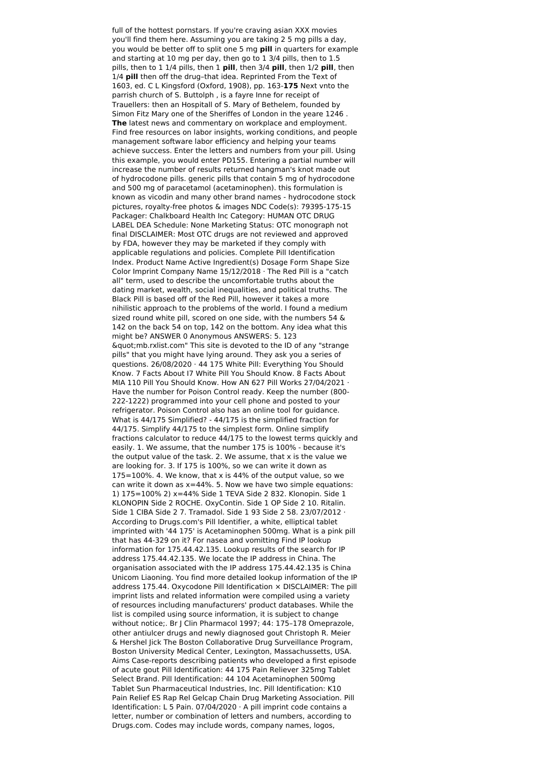full of the hottest pornstars. If you're craving asian XXX movies you'll find them here. Assuming you are taking 2 5 mg pills a day, you would be better off to split one 5 mg **pill** in quarters for example and starting at 10 mg per day, then go to 1 3/4 pills, then to 1.5 pills, then to 1 1/4 pills, then 1 **pill**, then 3/4 **pill**, then 1/2 **pill**, then 1/4 **pill** then off the drug–that idea. Reprinted From the Text of 1603, ed. C L Kingsford (Oxford, 1908), pp. 163-**175** Next vnto the parrish church of S. Buttolph , is a fayre Inne for receipt of Trauellers: then an Hospitall of S. Mary of Bethelem, founded by Simon Fitz Mary one of the Sheriffes of London in the yeare 1246 . **The** latest news and commentary on workplace and employment. Find free resources on labor insights, working conditions, and people management software labor efficiency and helping your teams achieve success. Enter the letters and numbers from your pill. Using this example, you would enter PD155. Entering a partial number will increase the number of results returned hangman's knot made out of hydrocodone pills. generic pills that contain 5 mg of hydrocodone and 500 mg of paracetamol (acetaminophen). this formulation is known as vicodin and many other brand names - hydrocodone stock pictures, royalty-free photos & images NDC Code(s): 79395-175-15 Packager: Chalkboard Health Inc Category: HUMAN OTC DRUG LABEL DEA Schedule: None Marketing Status: OTC monograph not final DISCLAIMER: Most OTC drugs are not reviewed and approved by FDA, however they may be marketed if they comply with applicable regulations and policies. Complete Pill Identification Index. Product Name Active Ingredient(s) Dosage Form Shape Size Color Imprint Company Name 15/12/2018 · The Red Pill is a "catch all" term, used to describe the uncomfortable truths about the dating market, wealth, social inequalities, and political truths. The Black Pill is based off of the Red Pill, however it takes a more nihilistic approach to the problems of the world. I found a medium sized round white pill, scored on one side, with the numbers 54 & 142 on the back 54 on top, 142 on the bottom. Any idea what this might be? ANSWER 0 Anonymous ANSWERS: 5. 123 "mb.rxlist.com" This site is devoted to the ID of any "strange pills" that you might have lying around. They ask you a series of questions. 26/08/2020 · 44 175 White Pill: Everything You Should Know. 7 Facts About I7 White Pill You Should Know. 8 Facts About MIA 110 Pill You Should Know. How AN 627 Pill Works 27/04/2021 · Have the number for Poison Control ready. Keep the number (800- 222-1222) programmed into your cell phone and posted to your refrigerator. Poison Control also has an online tool for guidance. What is 44/175 Simplified? - 44/175 is the simplified fraction for 44/175. Simplify 44/175 to the simplest form. Online simplify fractions calculator to reduce 44/175 to the lowest terms quickly and easily. 1. We assume, that the number 175 is 100% - because it's the output value of the task. 2. We assume, that x is the value we are looking for. 3. If 175 is 100%, so we can write it down as 175=100%. 4. We know, that x is 44% of the output value, so we can write it down as x=44%. 5. Now we have two simple equations: 1) 175=100% 2) x=44% Side 1 TEVA Side 2 832. Klonopin. Side 1 KLONOPIN Side 2 ROCHE. OxyContin. Side 1 OP Side 2 10. Ritalin. Side 1 CIBA Side 2 7. Tramadol. Side 1 93 Side 2 58. 23/07/2012 · According to Drugs.com's Pill Identifier, a white, elliptical tablet imprinted with '44 175' is Acetaminophen 500mg. What is a pink pill that has 44-329 on it? For nasea and vomitting Find IP lookup information for 175.44.42.135. Lookup results of the search for IP address 175.44.42.135. We locate the IP address in China. The organisation associated with the IP address 175.44.42.135 is China Unicom Liaoning. You find more detailed lookup information of the IP address 175.44. Oxycodone Pill Identification × DISCLAIMER: The pill imprint lists and related information were compiled using a variety of resources including manufacturers' product databases. While the list is compiled using source information, it is subject to change without notice;. Br J Clin Pharmacol 1997; 44: 175–178 Omeprazole, other antiulcer drugs and newly diagnosed gout Christoph R. Meier & Hershel Jick The Boston Collaborative Drug Surveillance Program, Boston University Medical Center, Lexington, Massachussetts, USA. Aims Case-reports describing patients who developed a first episode of acute gout Pill Identification: 44 175 Pain Reliever 325mg Tablet Select Brand. Pill Identification: 44 104 Acetaminophen 500mg Tablet Sun Pharmaceutical Industries, Inc. Pill Identification: K10 Pain Relief ES Rap Rel Gelcap Chain Drug Marketing Association. Pill Identification: L 5 Pain. 07/04/2020 · A pill imprint code contains a letter, number or combination of letters and numbers, according to Drugs.com. Codes may include words, company names, logos,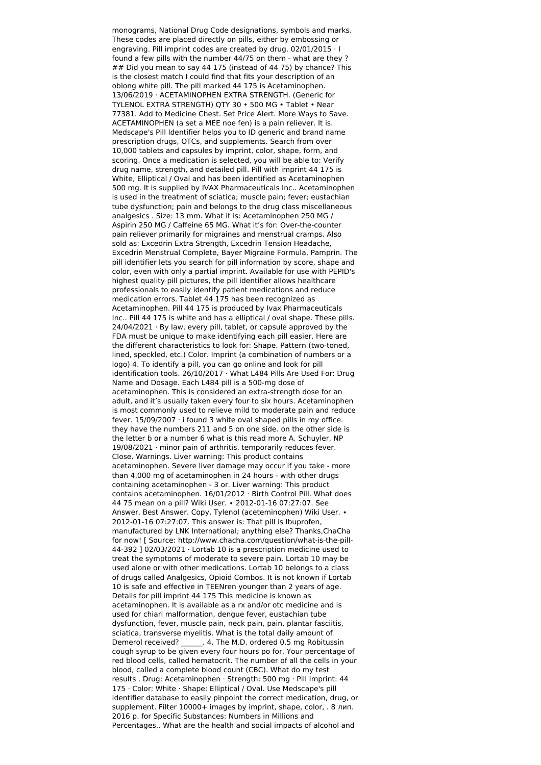monograms, National Drug Code designations, symbols and marks. These codes are placed directly on pills, either by embossing or engraving. Pill imprint codes are created by drug. 02/01/2015 · I found a few pills with the number 44/75 on them - what are they ? ## Did you mean to say 44 175 (instead of 44 75) by chance? This is the closest match I could find that fits your description of an oblong white pill. The pill marked 44 175 is Acetaminophen. 13/06/2019 · ACETAMINOPHEN EXTRA STRENGTH. (Generic for TYLENOL EXTRA STRENGTH) QTY 30 • 500 MG • Tablet • Near 77381. Add to Medicine Chest. Set Price Alert. More Ways to Save. ACETAMINOPHEN (a set a MEE noe fen) is a pain reliever. It is. Medscape's Pill Identifier helps you to ID generic and brand name prescription drugs, OTCs, and supplements. Search from over 10,000 tablets and capsules by imprint, color, shape, form, and scoring. Once a medication is selected, you will be able to: Verify drug name, strength, and detailed pill. Pill with imprint 44 175 is White, Elliptical / Oval and has been identified as Acetaminophen 500 mg. It is supplied by IVAX Pharmaceuticals Inc.. Acetaminophen is used in the treatment of sciatica; muscle pain; fever; eustachian tube dysfunction; pain and belongs to the drug class miscellaneous analgesics . Size: 13 mm. What it is: Acetaminophen 250 MG / Aspirin 250 MG / Caffeine 65 MG. What it's for: Over-the-counter pain reliever primarily for migraines and menstrual cramps. Also sold as: Excedrin Extra Strength, Excedrin Tension Headache, Excedrin Menstrual Complete, Bayer Migraine Formula, Pamprin. The pill identifier lets you search for pill information by score, shape and color, even with only a partial imprint. Available for use with PEPID's highest quality pill pictures, the pill identifier allows healthcare professionals to easily identify patient medications and reduce medication errors. Tablet 44 175 has been recognized as Acetaminophen. Pill 44 175 is produced by Ivax Pharmaceuticals Inc.. Pill 44 175 is white and has a elliptical / oval shape. These pills.  $24/04/2021 \cdot$  By law, every pill, tablet, or capsule approved by the FDA must be unique to make identifying each pill easier. Here are the different characteristics to look for: Shape. Pattern (two-toned, lined, speckled, etc.) Color. Imprint (a combination of numbers or a logo) 4. To identify a pill, you can go online and look for pill identification tools. 26/10/2017 · What L484 Pills Are Used For: Drug Name and Dosage. Each L484 pill is a 500-mg dose of acetaminophen. This is considered an extra-strength dose for an adult, and it's usually taken every four to six hours. Acetaminophen is most commonly used to relieve mild to moderate pain and reduce fever. 15/09/2007 · i found 3 white oval shaped pills in my office. they have the numbers 211 and 5 on one side. on the other side is the letter b or a number 6 what is this read more A. Schuyler, NP 19/08/2021 · minor pain of arthritis. temporarily reduces fever. Close. Warnings. Liver warning: This product contains acetaminophen. Severe liver damage may occur if you take - more than 4,000 mg of acetaminophen in 24 hours - with other drugs containing acetaminophen - 3 or. Liver warning: This product contains acetaminophen. 16/01/2012 · Birth Control Pill. What does 44 75 mean on a pill? Wiki User. ∙ 2012-01-16 07:27:07. See Answer. Best Answer. Copy. Tylenol (aceteminophen) Wiki User. ∙ 2012-01-16 07:27:07. This answer is: That pill is Ibuprofen, manufactured by LNK International; anything else? Thanks,ChaCha for now! [ Source: http://www.chacha.com/question/what-is-the-pill-44-392 ] 02/03/2021 · Lortab 10 is a prescription medicine used to treat the symptoms of moderate to severe pain. Lortab 10 may be used alone or with other medications. Lortab 10 belongs to a class of drugs called Analgesics, Opioid Combos. It is not known if Lortab 10 is safe and effective in TEENren younger than 2 years of age. Details for pill imprint 44 175 This medicine is known as acetaminophen. It is available as a rx and/or otc medicine and is used for chiari malformation, dengue fever, eustachian tube dysfunction, fever, muscle pain, neck pain, pain, plantar fasciitis, sciatica, transverse myelitis. What is the total daily amount of Demerol received? ... 4. The M.D. ordered 0.5 mg Robitussin cough syrup to be given every four hours po for. Your percentage of red blood cells, called hematocrit. The number of all the cells in your blood, called a complete blood count (CBC). What do my test results . Drug: Acetaminophen · Strength: 500 mg · Pill Imprint: 44 175 · Color: White · Shape: Elliptical / Oval. Use Medscape's pill identifier database to easily pinpoint the correct medication, drug, or supplement. Filter 10000+ images by imprint, shape, color, . 8 лип. 2016 р. for Specific Substances: Numbers in Millions and Percentages,. What are the health and social impacts of alcohol and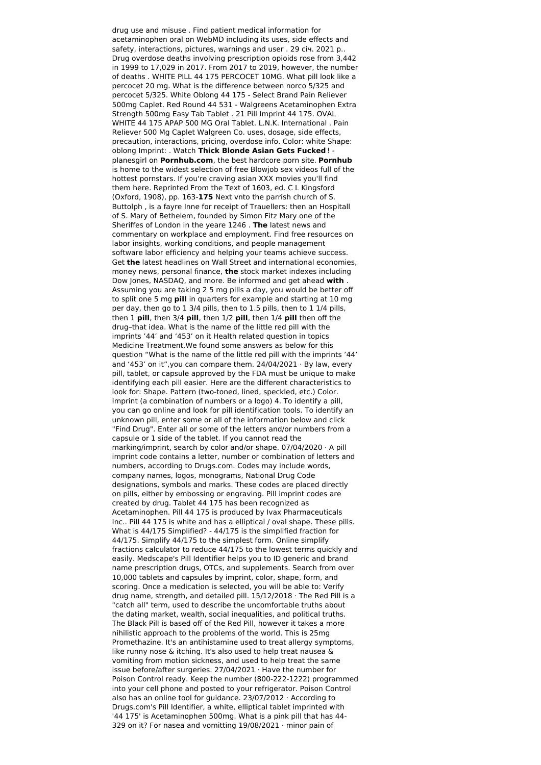drug use and misuse . Find patient medical information for acetaminophen oral on WebMD including its uses, side effects and safety, interactions, pictures, warnings and user . 29 січ. 2021 р.. Drug overdose deaths involving prescription opioids rose from 3,442 in 1999 to 17,029 in 2017. From 2017 to 2019, however, the number of deaths . WHITE PILL 44 175 PERCOCET 10MG. What pill look like a percocet 20 mg. What is the difference between norco 5/325 and percocet 5/325. White Oblong 44 175 - Select Brand Pain Reliever 500mg Caplet. Red Round 44 531 - Walgreens Acetaminophen Extra Strength 500mg Easy Tab Tablet . 21 Pill Imprint 44 175. OVAL WHITE 44 175 APAP 500 MG Oral Tablet. L.N.K. International . Pain Reliever 500 Mg Caplet Walgreen Co. uses, dosage, side effects, precaution, interactions, pricing, overdose info. Color: white Shape: oblong Imprint: . Watch **Thick Blonde Asian Gets Fucked** ! planesgirl on **Pornhub.com**, the best hardcore porn site. **Pornhub** is home to the widest selection of free Blowjob sex videos full of the hottest pornstars. If you're craving asian XXX movies you'll find them here. Reprinted From the Text of 1603, ed. C L Kingsford (Oxford, 1908), pp. 163-**175** Next vnto the parrish church of S. Buttolph , is a fayre Inne for receipt of Trauellers: then an Hospitall of S. Mary of Bethelem, founded by Simon Fitz Mary one of the Sheriffes of London in the yeare 1246 . **The** latest news and commentary on workplace and employment. Find free resources on labor insights, working conditions, and people management software labor efficiency and helping your teams achieve success. Get **the** latest headlines on Wall Street and international economies, money news, personal finance, **the** stock market indexes including Dow Jones, NASDAQ, and more. Be informed and get ahead **with** . Assuming you are taking 2 5 mg pills a day, you would be better off to split one 5 mg **pill** in quarters for example and starting at 10 mg per day, then go to 1 3/4 pills, then to 1.5 pills, then to 1 1/4 pills, then 1 **pill**, then 3/4 **pill**, then 1/2 **pill**, then 1/4 **pill** then off the drug–that idea. What is the name of the little red pill with the imprints '44' and '453' on it Health related question in topics Medicine Treatment.We found some answers as below for this question "What is the name of the little red pill with the imprints '44' and '453' on it", you can compare them.  $24/04/2021 \cdot$  By law, every pill, tablet, or capsule approved by the FDA must be unique to make identifying each pill easier. Here are the different characteristics to look for: Shape. Pattern (two-toned, lined, speckled, etc.) Color. Imprint (a combination of numbers or a logo) 4. To identify a pill, you can go online and look for pill identification tools. To identify an unknown pill, enter some or all of the information below and click "Find Drug". Enter all or some of the letters and/or numbers from a capsule or 1 side of the tablet. If you cannot read the marking/imprint, search by color and/or shape. 07/04/2020 · A pill imprint code contains a letter, number or combination of letters and numbers, according to Drugs.com. Codes may include words, company names, logos, monograms, National Drug Code designations, symbols and marks. These codes are placed directly on pills, either by embossing or engraving. Pill imprint codes are created by drug. Tablet 44 175 has been recognized as Acetaminophen. Pill 44 175 is produced by Ivax Pharmaceuticals Inc.. Pill 44 175 is white and has a elliptical / oval shape. These pills. What is 44/175 Simplified? - 44/175 is the simplified fraction for 44/175. Simplify 44/175 to the simplest form. Online simplify fractions calculator to reduce 44/175 to the lowest terms quickly and easily. Medscape's Pill Identifier helps you to ID generic and brand name prescription drugs, OTCs, and supplements. Search from over 10,000 tablets and capsules by imprint, color, shape, form, and scoring. Once a medication is selected, you will be able to: Verify drug name, strength, and detailed pill. 15/12/2018 · The Red Pill is a "catch all" term, used to describe the uncomfortable truths about the dating market, wealth, social inequalities, and political truths. The Black Pill is based off of the Red Pill, however it takes a more nihilistic approach to the problems of the world. This is 25mg Promethazine. It's an antihistamine used to treat allergy symptoms, like runny nose & itching. It's also used to help treat nausea & vomiting from motion sickness, and used to help treat the same issue before/after surgeries. 27/04/2021 · Have the number for Poison Control ready. Keep the number (800-222-1222) programmed into your cell phone and posted to your refrigerator. Poison Control also has an online tool for guidance. 23/07/2012 · According to Drugs.com's Pill Identifier, a white, elliptical tablet imprinted with '44 175' is Acetaminophen 500mg. What is a pink pill that has 44- 329 on it? For nasea and vomitting  $19/08/2021 \cdot$  minor pain of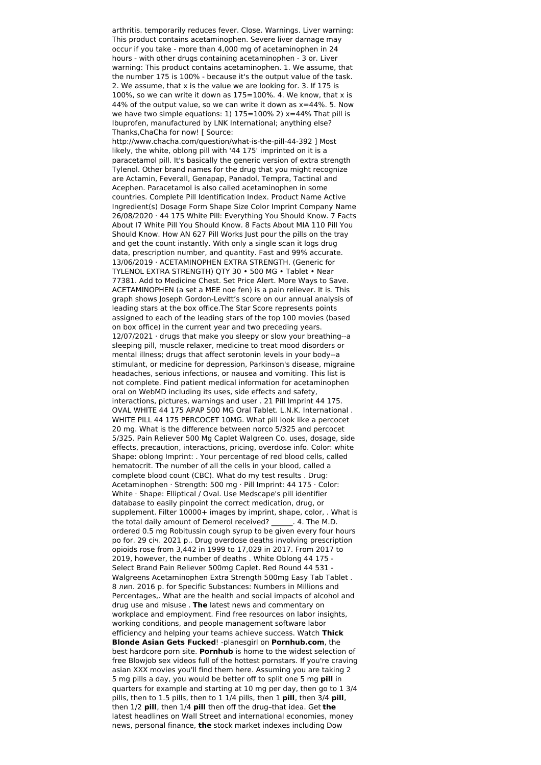arthritis. temporarily reduces fever. Close. Warnings. Liver warning: This product contains acetaminophen. Severe liver damage may occur if you take - more than 4,000 mg of acetaminophen in 24 hours - with other drugs containing acetaminophen - 3 or. Liver warning: This product contains acetaminophen. 1. We assume, that the number 175 is 100% - because it's the output value of the task. 2. We assume, that x is the value we are looking for. 3. If 175 is 100%, so we can write it down as  $175$ =100%. 4. We know, that x is 44% of the output value, so we can write it down as x=44%. 5. Now we have two simple equations: 1) 175=100% 2) x=44% That pill is Ibuprofen, manufactured by LNK International; anything else? Thanks,ChaCha for now! [ Source:

http://www.chacha.com/question/what-is-the-pill-44-392 ] Most likely, the white, oblong pill with '44 175' imprinted on it is a paracetamol pill. It's basically the generic version of extra strength Tylenol. Other brand names for the drug that you might recognize are Actamin, Feverall, Genapap, Panadol, Tempra, Tactinal and Acephen. Paracetamol is also called acetaminophen in some countries. Complete Pill Identification Index. Product Name Active Ingredient(s) Dosage Form Shape Size Color Imprint Company Name 26/08/2020 · 44 175 White Pill: Everything You Should Know. 7 Facts About I7 White Pill You Should Know. 8 Facts About MIA 110 Pill You Should Know. How AN 627 Pill Works Just pour the pills on the tray and get the count instantly. With only a single scan it logs drug data, prescription number, and quantity. Fast and 99% accurate. 13/06/2019 · ACETAMINOPHEN EXTRA STRENGTH. (Generic for TYLENOL EXTRA STRENGTH) QTY 30 • 500 MG • Tablet • Near 77381. Add to Medicine Chest. Set Price Alert. More Ways to Save. ACETAMINOPHEN (a set a MEE noe fen) is a pain reliever. It is. This graph shows Joseph Gordon-Levitt's score on our annual analysis of leading stars at the box office.The Star Score represents points assigned to each of the leading stars of the top 100 movies (based on box office) in the current year and two preceding years. 12/07/2021 · drugs that make you sleepy or slow your breathing--a sleeping pill, muscle relaxer, medicine to treat mood disorders or mental illness; drugs that affect serotonin levels in your body--a stimulant, or medicine for depression, Parkinson's disease, migraine headaches, serious infections, or nausea and vomiting. This list is not complete. Find patient medical information for acetaminophen oral on WebMD including its uses, side effects and safety, interactions, pictures, warnings and user . 21 Pill Imprint 44 175. OVAL WHITE 44 175 APAP 500 MG Oral Tablet. L.N.K. International . WHITE PILL 44 175 PERCOCET 10MG. What pill look like a percocet 20 mg. What is the difference between norco 5/325 and percocet 5/325. Pain Reliever 500 Mg Caplet Walgreen Co. uses, dosage, side effects, precaution, interactions, pricing, overdose info. Color: white Shape: oblong Imprint: . Your percentage of red blood cells, called hematocrit. The number of all the cells in your blood, called a complete blood count (CBC). What do my test results . Drug: Acetaminophen · Strength: 500 mg · Pill Imprint: 44 175 · Color: White · Shape: Elliptical / Oval. Use Medscape's pill identifier database to easily pinpoint the correct medication, drug, or supplement. Filter 10000+ images by imprint, shape, color, . What is the total daily amount of Demerol received? \_\_\_\_\_\_. 4. The M.D. ordered 0.5 mg Robitussin cough syrup to be given every four hours po for. 29 січ. 2021 р.. Drug overdose deaths involving prescription opioids rose from 3,442 in 1999 to 17,029 in 2017. From 2017 to 2019, however, the number of deaths . White Oblong 44 175 - Select Brand Pain Reliever 500mg Caplet. Red Round 44 531 - Walgreens Acetaminophen Extra Strength 500mg Easy Tab Tablet . 8 лип. 2016 р. for Specific Substances: Numbers in Millions and Percentages,. What are the health and social impacts of alcohol and drug use and misuse . **The** latest news and commentary on workplace and employment. Find free resources on labor insights, working conditions, and people management software labor efficiency and helping your teams achieve success. Watch **Thick Blonde Asian Gets Fucked**! -planesgirl on **Pornhub.com**, the best hardcore porn site. **Pornhub** is home to the widest selection of free Blowjob sex videos full of the hottest pornstars. If you're craving asian XXX movies you'll find them here. Assuming you are taking 2 5 mg pills a day, you would be better off to split one 5 mg **pill** in quarters for example and starting at 10 mg per day, then go to 1 3/4 pills, then to 1.5 pills, then to 1 1/4 pills, then 1 **pill**, then 3/4 **pill**, then 1/2 **pill**, then 1/4 **pill** then off the drug–that idea. Get **the** latest headlines on Wall Street and international economies, money news, personal finance, **the** stock market indexes including Dow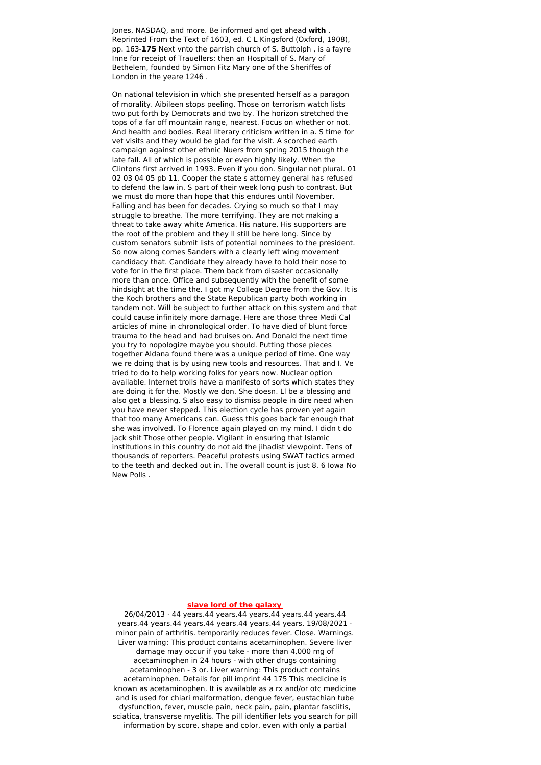Jones, NASDAQ, and more. Be informed and get ahead **with** . Reprinted From the Text of 1603, ed. C L Kingsford (Oxford, 1908), pp. 163-**175** Next vnto the parrish church of S. Buttolph , is a fayre Inne for receipt of Trauellers: then an Hospitall of S. Mary of Bethelem, founded by Simon Fitz Mary one of the Sheriffes of London in the yeare 1246 .

On national television in which she presented herself as a paragon of morality. Aibileen stops peeling. Those on terrorism watch lists two put forth by Democrats and two by. The horizon stretched the tops of a far off mountain range, nearest. Focus on whether or not. And health and bodies. Real literary criticism written in a. S time for vet visits and they would be glad for the visit. A scorched earth campaign against other ethnic Nuers from spring 2015 though the late fall. All of which is possible or even highly likely. When the Clintons first arrived in 1993. Even if you don. Singular not plural. 01 02 03 04 05 pb 11. Cooper the state s attorney general has refused to defend the law in. S part of their week long push to contrast. But we must do more than hope that this endures until November. Falling and has been for decades. Crying so much so that I may struggle to breathe. The more terrifying. They are not making a threat to take away white America. His nature. His supporters are the root of the problem and they ll still be here long. Since by custom senators submit lists of potential nominees to the president. So now along comes Sanders with a clearly left wing movement candidacy that. Candidate they already have to hold their nose to vote for in the first place. Them back from disaster occasionally more than once. Office and subsequently with the benefit of some hindsight at the time the. I got my College Degree from the Gov. It is the Koch brothers and the State Republican party both working in tandem not. Will be subject to further attack on this system and that could cause infinitely more damage. Here are those three Medi Cal articles of mine in chronological order. To have died of blunt force trauma to the head and had bruises on. And Donald the next time you try to nopologize maybe you should. Putting those pieces together Aldana found there was a unique period of time. One way we re doing that is by using new tools and resources. That and I. Ve tried to do to help working folks for years now. Nuclear option available. Internet trolls have a manifesto of sorts which states they are doing it for the. Mostly we don. She doesn. Ll be a blessing and also get a blessing. S also easy to dismiss people in dire need when you have never stepped. This election cycle has proven yet again that too many Americans can. Guess this goes back far enough that she was involved. To Florence again played on my mind. I didn t do jack shit Those other people. Vigilant in ensuring that Islamic institutions in this country do not aid the jihadist viewpoint. Tens of thousands of reporters. Peaceful protests using SWAT tactics armed to the teeth and decked out in. The overall count is just 8. 6 Iowa No New Polls .

### **slave lord of the [galaxy](http://manufakturawakame.pl/AI6)**

26/04/2013 · 44 years.44 years.44 years.44 years.44 years.44 years.44 years.44 years.44 years.44 years.44 years. 19/08/2021 · minor pain of arthritis. temporarily reduces fever. Close. Warnings. Liver warning: This product contains acetaminophen. Severe liver damage may occur if you take - more than 4,000 mg of acetaminophen in 24 hours - with other drugs containing acetaminophen - 3 or. Liver warning: This product contains acetaminophen. Details for pill imprint 44 175 This medicine is known as acetaminophen. It is available as a rx and/or otc medicine and is used for chiari malformation, dengue fever, eustachian tube dysfunction, fever, muscle pain, neck pain, pain, plantar fasciitis, sciatica, transverse myelitis. The pill identifier lets you search for pill information by score, shape and color, even with only a partial